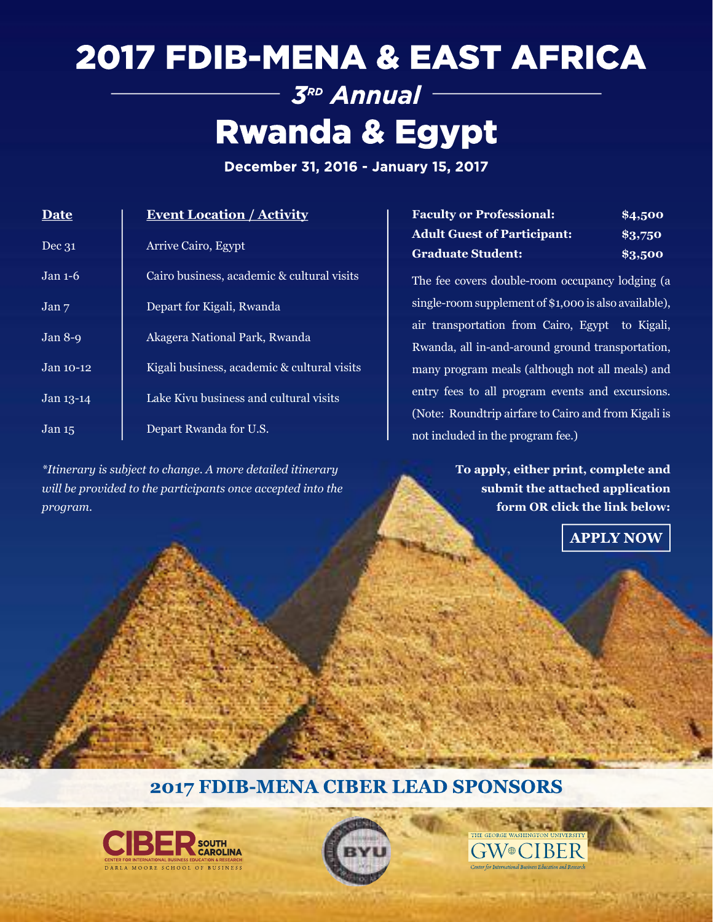## 2017 FDIB-MENA & EAST AFRICA 3RD Annual

# **Rwanda & Egypt**

December 31, 2016 - January 15, 2017

| Date                            | <b>Event Location / Activity</b>            |  |
|---------------------------------|---------------------------------------------|--|
| Dec 31                          | <b>Arrive Cairo, Egypt</b>                  |  |
| $Jan 1-6$                       | Cairo business, academic & cultural visits  |  |
| $\overline{Jan}$ $\overline{7}$ | Depart for Kigali, Rwanda                   |  |
| Jan $8-9$                       | Akagera National Park, Rwanda               |  |
| Jan 10-12                       | Kigali business, academic & cultural visits |  |
| Jan 13-14                       | Lake Kivu business and cultural visits      |  |
| Jan <sub>15</sub>               | Depart Rwanda for U.S.                      |  |

*\*Itinerary is subject to change. A more detailed itinerary will be provided to the participants once accepted into the program.*

| <b>Faculty or Professional:</b>    | \$4,500 |
|------------------------------------|---------|
| <b>Adult Guest of Participant:</b> | \$3,750 |
| <b>Graduate Student:</b>           | \$3,500 |

The fee covers double-room occupancy lodging (a single-room supplement of \$1,000 is also available), air transportation from Cairo, Egypt to Kigali, Rwanda, all in-and-around ground transportation, many program meals (although not all meals) and entry fees to all program events and excursions. (Note: Roundtrip airfare to Cairo and from Kigali is not included in the program fee.)

> **To apply, either print, complete and submit the attached application form OR click the link below:**

**GW®CIBEI** 

**APPLY NOW** 

### 2017 FDIB-MENA CIBER LEAD SPONSORS